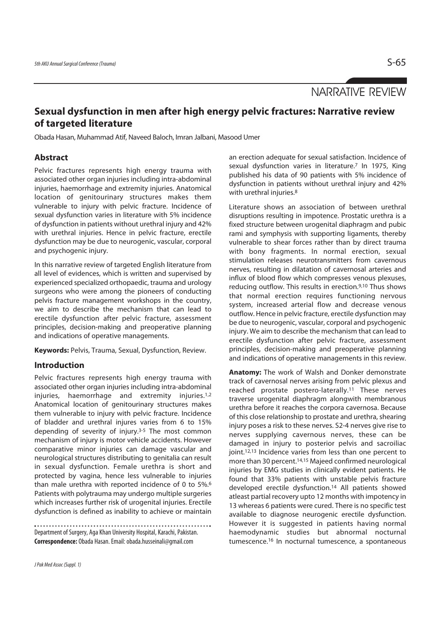NARRATIVE REVIEW

# **Sexual dysfunction in men after high energy pelvic fractures: Narrative review of targeted literature**

Obada Hasan, Muhammad Atif, Naveed Baloch, Imran Jalbani, Masood Umer

## **Abstract**

Pelvic fractures represents high energy trauma with associated other organ injuries including intra-abdominal injuries, haemorrhage and extremity injuries. Anatomical location of genitourinary structures makes them vulnerable to injury with pelvic fracture. Incidence of sexual dysfunction varies in literature with 5% incidence of dysfunction in patients without urethral injury and 42% with urethral injuries. Hence in pelvic fracture, erectile dysfunction may be due to neurogenic, vascular, corporal and psychogenic injury.

In this narrative review of targeted English literature from all level of evidences, which is written and supervised by experienced specialized orthopaedic, trauma and urology surgeons who were among the pioneers of conducting pelvis fracture management workshops in the country, we aim to describe the mechanism that can lead to erectile dysfunction after pelvic fracture, assessment principles, decision-making and preoperative planning and indications of operative managements.

**Keywords:** Pelvis, Trauma, Sexual, Dysfunction, Review.

## **Introduction**

Pelvic fractures represents high energy trauma with associated other organ injuries including intra-abdominal injuries, haemorrhage and extremity injuries.1,2 Anatomical location of genitourinary structures makes them vulnerable to injury with pelvic fracture. Incidence of bladder and urethral injures varies from 6 to 15% depending of severity of injury.3-5 The most common mechanism of injury is motor vehicle accidents. However comparative minor injuries can damage vascular and neurological structures distributing to genitalia can result in sexual dysfunction. Female urethra is short and protected by vagina, hence less vulnerable to injuries than male urethra with reported incidence of 0 to 5%.6 Patients with polytrauma may undergo multiple surgeries which increases further risk of urogenital injuries. Erectile dysfunction is defined as inability to achieve or maintain

Department of Surgery, Aga Khan University Hospital, Karachi, Pakistan. **Correspondence:** Obada Hasan. Email: obada.husseinali@gmail.com

an erection adequate for sexual satisfaction. Incidence of sexual dysfunction varies in literature.<sup>7</sup> In 1975, King published his data of 90 patients with 5% incidence of dysfunction in patients without urethral injury and 42% with urethral injuries.<sup>8</sup>

Literature shows an association of between urethral disruptions resulting in impotence. Prostatic urethra is a fixed structure between urogenital diaphragm and pubic rami and symphysis with supporting ligaments, thereby vulnerable to shear forces rather than by direct trauma with bony fragments. In normal erection, sexual stimulation releases neurotransmitters from cavernous nerves, resulting in dilatation of cavernosal arteries and influx of blood flow which compresses venous plexuses, reducing outflow. This results in erection.9,10 Thus shows that normal erection requires functioning nervous system, increased arterial flow and decrease venous outflow. Hence in pelvic fracture, erectile dysfunction may be due to neurogenic, vascular, corporal and psychogenic injury. We aim to describe the mechanism that can lead to erectile dysfunction after pelvic fracture, assessment principles, decision-making and preoperative planning and indications of operative managements in this review.

**Anatomy:** The work of Walsh and Donker demonstrate track of cavernosal nerves arising from pelvic plexus and reached prostate postero-laterally.11 These nerves traverse urogenital diaphragm alongwith membranous urethra before it reaches the corpora cavernosa. Because of this close relationship to prostate and urethra, shearing injury poses a risk to these nerves. S2-4 nerves give rise to nerves supplying cavernous nerves, these can be damaged in injury to posterior pelvis and sacroiliac joint.12,13 Incidence varies from less than one percent to more than 30 percent.<sup>14,15</sup> Majeed confirmed neurological injuries by EMG studies in clinically evident patients. He found that 33% patients with unstable pelvis fracture developed erectile dysfunction.14 All patients showed atleast partial recovery upto 12 months with impotency in 13 whereas 6 patients were cured. There is no specific test available to diagnose neurogenic erectile dysfunction. However it is suggested in patients having normal haemodynamic studies but abnormal nocturnal tumescence.16 In nocturnal tumescence, a spontaneous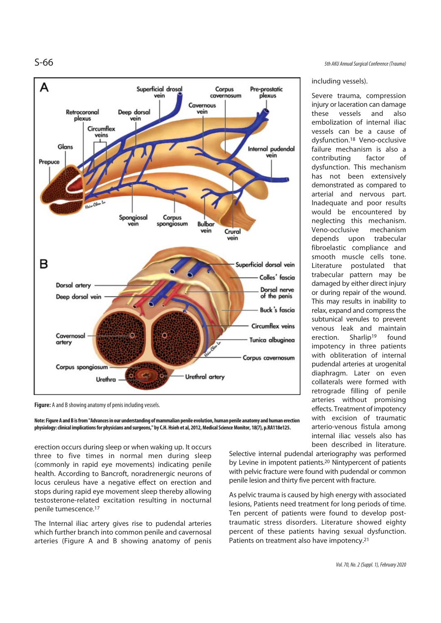

**Figure:** A and B showing anatomy of penis including vessels.

**Note: Figure A and B is from "Advances in our understanding of mammalian penile evolution, human penile anatomy and human erection physiology: clinical implications for physicians and surgeons," by C.H. Hsieh et al, 2012, Medical Science Monitor, 18(7), p.RA118e125.**

erection occurs during sleep or when waking up. It occurs three to five times in normal men during sleep (commonly in rapid eye movements) indicating penile health. According to Bancroft, noradrenergic neurons of locus ceruleus have a negative effect on erection and stops during rapid eye movement sleep thereby allowing testosterone-related excitation resulting in nocturnal penile tumescence.17

The Internal iliac artery gives rise to pudendal arteries which further branch into common penile and cavernosal arteries (Figure A and B showing anatomy of penis

S-66 5th AKU Annual Surgical Conference (Trauma)

#### including vessels).

Severe trauma, compression injury or laceration can damage these vessels and also embolization of internal iliac vessels can be a cause of dysfunction.18 Veno-occlusive failure mechanism is also a contributing factor of dysfunction. This mechanism has not been extensively demonstrated as compared to arterial and nervous part. Inadequate and poor results would be encountered by neglecting this mechanism. Veno-occlusive mechanism depends upon trabecular fibroelastic compliance and smooth muscle cells tone. Literature postulated that trabecular pattern may be damaged by either direct injury or during repair of the wound. This may results in inability to relax, expand and compress the subtunical venules to prevent venous leak and maintain erection. Sharlip19 found impotency in three patients with obliteration of internal pudendal arteries at urogenital diaphragm. Later on even collaterals were formed with retrograde filling of penile arteries without promising effects. Treatment of impotency with excision of traumatic arterio-venous fistula among internal iliac vessels also has been described in literature.

Selective internal pudendal arteriography was performed by Levine in impotent patients.20 Nintypercent of patients with pelvic fracture were found with pudendal or common penile lesion and thirty five percent with fracture.

As pelvic trauma is caused by high energy with associated lesions, Patients need treatment for long periods of time. Ten percent of patients were found to develop posttraumatic stress disorders. Literature showed eighty percent of these patients having sexual dysfunction. Patients on treatment also have impotency.<sup>21</sup>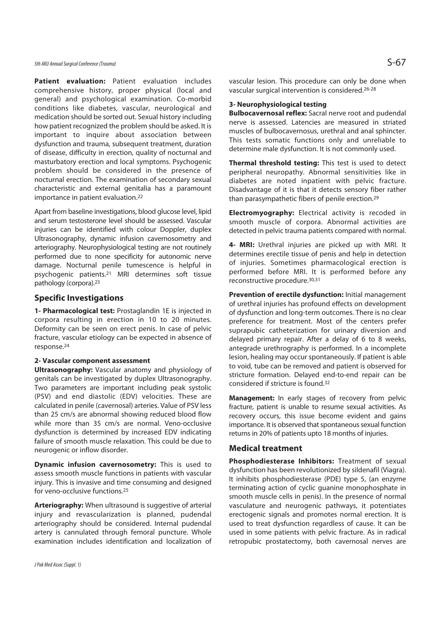# 5th AKU Annual Surgical Conference (Trauma)  $S$  -67

**Patient evaluation:** Patient evaluation includes comprehensive history, proper physical (local and general) and psychological examination. Co-morbid conditions like diabetes, vascular, neurological and medication should be sorted out. Sexual history including how patient recognized the problem should be asked. It is important to inquire about association between dysfunction and trauma, subsequent treatment, duration of disease, difficulty in erection, quality of nocturnal and masturbatory erection and local symptoms. Psychogenic problem should be considered in the presence of nocturnal erection. The examination of secondary sexual characteristic and external genitalia has a paramount importance in patient evaluation.22

Apart from baseline investigations, blood glucose level, lipid and serum testosterone level should be assessed. Vascular injuries can be identified with colour Doppler, duplex Ultrasonography, dynamic infusion cavernosometry and arteriography. Neurophysiological testing are not routinely performed due to none specificity for autonomic nerve damage. Nocturnal penile tumescence is helpful in psychogenic patients.21 MRI determines soft tissue pathology (corpora).23

#### **Specific Investigations**

**1- Pharmacological test:** Prostaglandin 1E is injected in corpora resulting in erection in 10 to 20 minutes. Deformity can be seen on erect penis. In case of pelvic fracture, vascular etiology can be expected in absence of response.24

#### **2- Vascular component assessment**

**Ultrasonography:** Vascular anatomy and physiology of genitals can be investigated by duplex Ultrasonography. Two parameters are important including peak systolic (PSV) and end diastolic (EDV) velocities. These are calculated in penile (cavernosal) arteries. Value of PSV less than 25 cm/s are abnormal showing reduced blood flow while more than 35 cm/s are normal. Veno-occlusive dysfunction is determined by increased EDV indicating failure of smooth muscle relaxation. This could be due to neurogenic or inflow disorder.

**Dynamic infusion cavernosometry:** This is used to assess smooth muscle functions in patients with vascular injury. This is invasive and time consuming and designed for veno-occlusive functions.25

**Arteriography:** When ultrasound is suggestive of arterial injury and revascularization is planned, pudendal arteriography should be considered. Internal pudendal artery is cannulated through femoral puncture. Whole examination includes identification and localization of

vascular lesion. This procedure can only be done when vascular surgical intervention is considered.26-28

### **3- Neurophysiological testing**

**Bulbocavernosal reflex:** Sacral nerve root and pudendal nerve is assessed. Latencies are measured in striated muscles of bulbocavernosus, urethral and anal sphincter. This tests somatic functions only and unreliable to determine male dysfunction. It is not commonly used.

**Thermal threshold testing:** This test is used to detect peripheral neuropathy. Abnormal sensitivities like in diabetes are noted inpatient with pelvic fracture. Disadvantage of it is that it detects sensory fiber rather than parasympathetic fibers of penile erection.29

**Electromyography:** Electrical activity is recoded in smooth muscle of corpora. Abnormal activities are detected in pelvic trauma patients compared with normal.

**4- MRI:** Urethral injuries are picked up with MRI. It determines erectile tissue of penis and help in detection of injuries. Sometimes pharmacological erection is performed before MRI. It is performed before any reconstructive procedure.30,31

**Prevention of erectile dysfunction:** Initial management of urethral injuries has profound effects on development of dysfunction and long-term outcomes. There is no clear preference for treatment. Most of the centers prefer suprapubic catheterization for urinary diversion and delayed primary repair. After a delay of 6 to 8 weeks, antegrade urethrography is performed. In a incomplete lesion, healing may occur spontaneously. If patient is able to void, tube can be removed and patient is observed for stricture formation. Delayed end-to-end repair can be considered if stricture is found.32

**Management:** In early stages of recovery from pelvic fracture, patient is unable to resume sexual activities. As recovery occurs, this issue become evident and gains importance. It is observed that spontaneous sexual function returns in 20% of patients upto 18 months of injuries.

### **Medical treatment**

**Phosphodiesterase Inhibitors:** Treatment of sexual dysfunction has been revolutionized by sildenafil (Viagra). It inhibits phosphodiesterase (PDE) type 5, (an enzyme terminating action of cyclic guanine monophosphate in smooth muscle cells in penis). In the presence of normal vasculature and neurogenic pathways, it potentiates erectogenic signals and promotes normal erection. It is used to treat dysfunction regardless of cause. It can be used in some patients with pelvic fracture. As in radical retropubic prostatectomy, both cavernosal nerves are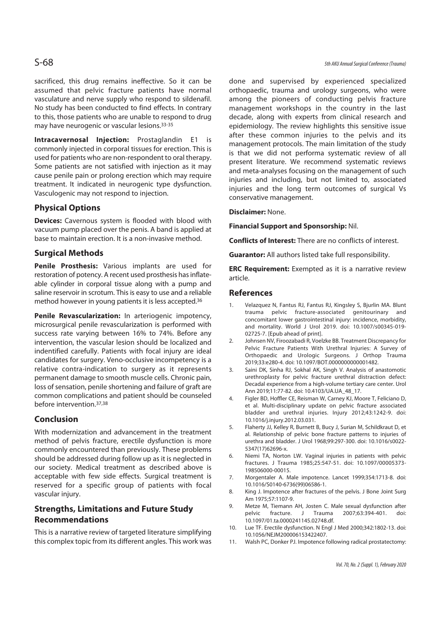sacrificed, this drug remains ineffective. So it can be assumed that pelvic fracture patients have normal vasculature and nerve supply who respond to sildenafil. No study has been conducted to find effects. In contrary to this, those patients who are unable to respond to drug may have neurogenic or vascular lesions.33-35

**Intracavernosal Injection:** Prostaglandin E1 is commonly injected in corporal tissues for erection. This is used for patients who are non-respondent to oral therapy. Some patients are not satisfied with injection as it may cause penile pain or prolong erection which may require treatment. It indicated in neurogenic type dysfunction. Vasculogenic may not respond to injection.

# **Physical Options**

**Devices:** Cavernous system is flooded with blood with vacuum pump placed over the penis. A band is applied at base to maintain erection. It is a non-invasive method.

# **Surgical Methods**

**Penile Prosthesis:** Various implants are used for restoration of potency. A recent used prosthesis has inflateable cylinder in corporal tissue along with a pump and saline reservoir in scrotum. This is easy to use and a reliable method however in young patients it is less accepted.36

**Penile Revascularization:** In arteriogenic impotency, microsurgical penile revascularization is performed with success rate varying between 16% to 74%. Before any intervention, the vascular lesion should be localized and indentified carefully. Patients with focal injury are ideal candidates for surgery. Veno-occlusive incompetency is a relative contra-indication to surgery as it represents permanent damage to smooth muscle cells. Chronic pain, loss of sensation, penile shortening and failure of graft are common complications and patient should be counseled before intervention.37,38

## **Conclusion**

With modernization and advancement in the treatment method of pelvis fracture, erectile dysfunction is more commonly encountered than previously. These problems should be addressed during follow up as it is neglected in our society. Medical treatment as described above is acceptable with few side effects. Surgical treatment is reserved for a specific group of patients with focal vascular injury.

# **Strengths, Limitations and Future Study Recommendations**

This is a narrative review of targeted literature simplifying this complex topic from its different angles. This work was done and supervised by experienced specialized orthopaedic, trauma and urology surgeons, who were among the pioneers of conducting pelvis fracture management workshops in the country in the last decade, along with experts from clinical research and epidemiology. The review highlights this sensitive issue after these common injuries to the pelvis and its management protocols. The main limitation of the study is that we did not performa systematic review of all present literature. We recommend systematic reviews and meta-analyses focusing on the management of such injuries and including, but not limited to, associated injuries and the long term outcomes of surgical Vs conservative management.

#### **Disclaimer:** None.

**Financial Support and Sponsorship:** Nil.

**Conflicts of Interest:** There are no conflicts of interest.

**Guarantor:** All authors listed take full responsibility.

**ERC Requirement:** Exempted as it is a narrative review article.

#### **References**

- 1. Velazquez N, Fantus RJ, Fantus RJ, Kingsley S, Bjurlin MA. Blunt trauma pelvic fracture-associated genitourinary and concomitant lower gastrointestinal injury: incidence, morbidity, and mortality. World J Urol 2019. doi: 10.1007/s00345-019- 02725-7. [Epub ahead of print].
- 2. Johnsen NV, Firoozabadi R, Voelzke BB. Treatment Discrepancy for Pelvic Fracture Patients With Urethral Injuries: A Survey of Orthopaedic and Urologic Surgeons. J Orthop Trauma 2019;33:e280-4. doi: 10.1097/BOT.0000000000001482.
- 3. Saini DK, Sinha RJ, Sokhal AK, Singh V. Analysis of anastomotic urethroplasty for pelvic fracture urethral distraction defect: Decadal experience from a high-volume tertiary care center. Urol Ann 2019;11:77-82. doi: 10.4103/UA.UA\_48\_17.
- 4. Figler BD, Hoffler CE, Reisman W, Carney KJ, Moore T, Feliciano D, et al. Multi-disciplinary update on pelvic fracture associated bladder and urethral injuries. Injury 2012;43:1242-9. doi: 10.1016/j.injury.2012.03.031.
- 5. Flaherty JJ, Kelley R, Burnett B, Bucy J, Surian M, Schildkraut D, et al. Relationship of pelvic bone fracture patterns to injuries of urethra and bladder. J Urol 1968;99:297-300. doi: 10.1016/s0022- 5347(17)62696-x.
- 6. Niemi TA, Norton LW. Vaginal injuries in patients with pelvic fractures. J Trauma 1985;25:547-51. doi: 10.1097/00005373- 198506000-00015.
- 7. Morgentaler A. Male impotence. Lancet 1999;354:1713-8. doi: 10.1016/S0140-6736(99)06586-1.
- 8. King J. Impotence after fractures of the pelvis. J Bone Joint Surg Am 1975;57:1107-9.
- 9. Metze M, Tiemann AH, Josten C. Male sexual dysfunction after<br>pelvic fracture. J Trauma 2007;63:394-401. doi: pelvic fracture. J Trauma 2007;63:394-401. doi: 10.1097/01.ta.0000241145.02748.df.
- 10. Lue TF. Erectile dysfunction. N Engl J Med 2000;342:1802-13. doi: 10.1056/NEJM200006153422407.
- 11. Walsh PC, Donker PJ. Impotence following radical prostatectomy: